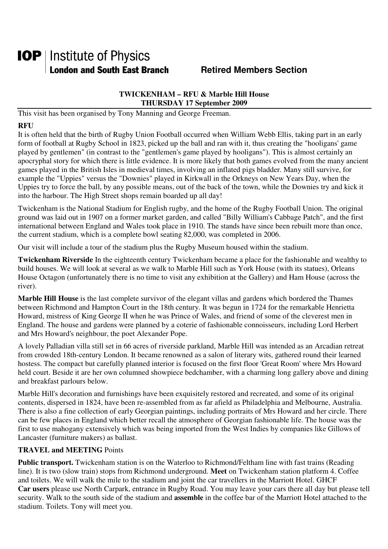# **IOP** | Institute of Physics **London and South East Branch Famely Retired Members Section**

### **TWICKENHAM – RFU & Marble Hill House THURSDAY 17 September 2009**

This visit has been organised by Tony Manning and George Freeman.

# **RFU**

It is often held that the birth of Rugby Union Football occurred when William Webb Ellis, taking part in an early form of football at Rugby School in 1823, picked up the ball and ran with it, thus creating the "hooligans' game played by gentlemen" (in contrast to the "gentlemen's game played by hooligans"). This is almost certainly an apocryphal story for which there is little evidence. It is more likely that both games evolved from the many ancient games played in the British Isles in medieval times, involving an inflated pigs bladder. Many still survive, for example the "Uppies" versus the "Downies" played in Kirkwall in the Orkneys on New Years Day, when the Uppies try to force the ball, by any possible means, out of the back of the town, while the Downies try and kick it into the harbour. The High Street shops remain boarded up all day!

Twickenham is the National Stadium for English rugby, and the home of the Rugby Football Union. The original ground was laid out in 1907 on a former market garden, and called "Billy William's Cabbage Patch", and the first international between England and Wales took place in 1910. The stands have since been rebuilt more than once, the current stadium, which is a complete bowl seating 82,000, was completed in 2006.

Our visit will include a tour of the stadium plus the Rugby Museum housed within the stadium.

**Twickenham Riverside** In the eighteenth century Twickenham became a place for the fashionable and wealthy to build houses. We will look at several as we walk to Marble Hill such as York House (with its statues), Orleans House Octagon (unfortunately there is no time to visit any exhibition at the Gallery) and Ham House (across the river).

**Marble Hill House** is the last complete survivor of the elegant villas and gardens which bordered the Thames between Richmond and Hampton Court in the 18th century. It was begun in 1724 for the remarkable Henrietta Howard, mistress of King George II when he was Prince of Wales, and friend of some of the cleverest men in England. The house and gardens were planned by a coterie of fashionable connoisseurs, including Lord Herbert and Mrs Howard's neighbour, the poet Alexander Pope.

A lovely Palladian villa still set in 66 acres of riverside parkland, Marble Hill was intended as an Arcadian retreat from crowded 18th-century London. It became renowned as a salon of literary wits, gathered round their learned hostess. The compact but carefully planned interior is focused on the first floor 'Great Room' where Mrs Howard held court. Beside it are her own columned showpiece bedchamber, with a charming long gallery above and dining and breakfast parlours below.

Marble Hill's decoration and furnishings have been exquisitely restored and recreated, and some of its original contents, dispersed in 1824, have been re-assembled from as far afield as Philadelphia and Melbourne, Australia. There is also a fine collection of early Georgian paintings, including portraits of Mrs Howard and her circle. There can be few places in England which better recall the atmosphere of Georgian fashionable life. The house was the first to use mahogany extensively which was being imported from the West Indies by companies like Gillows of Lancaster (furniture makers) as ballast.

#### **TRAVEL and MEETING** Points

**Public transport.** Twickenham station is on the Waterloo to Richmond/Feltham line with fast trains (Reading line). It is two (slow train) stops from Richmond underground. **Meet** on Twickenham station platform 4. Coffee and toilets. We will walk the mile to the stadium and joint the car travellers in the Marriott Hotel. GHCF **Car users** please use North Carpark, entrance in Rugby Road. You may leave your cars there all day but please tell security. Walk to the south side of the stadium and **assemble** in the coffee bar of the Marriott Hotel attached to the stadium. Toilets. Tony will meet you.